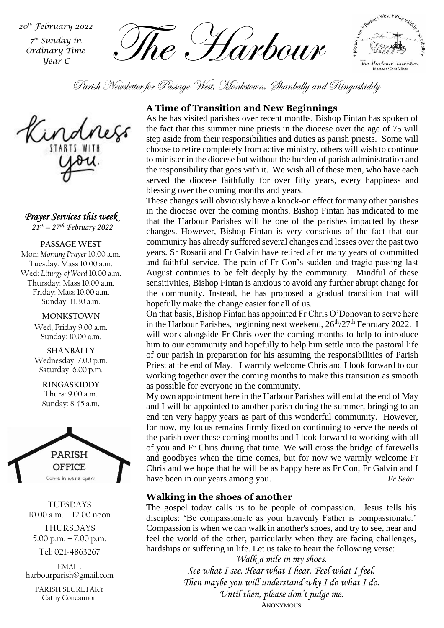*7 th Sunday in Ordinary Time Year C*

 $\sum_{\tau^{\text{th}} \text{ Sunday } \text{time}}^{\tau^{\text{th}} \text{ Sunday } \text{time}}$  . The  $\sum_{\text{Ordinary Time}}$  . Harbourg



Parish Newsletter for Passage West, Monkstown, Shanbally and Ringaskiddy



*Prayer Services this week* 

*21st – 27th February 2022*

**PASSAGE WEST** Mon: *Morning Prayer* 10.00 a.m. Tuesday: Mass 10.00 a.m. Wed: *Liturgy of Word* 10.00 a.m. Thursday: Mass 10.00 a.m. Friday: Mass 10.00 a.m. Sunday: 11.30 a.m.

**MONKSTOWN**

Wed, Friday 9.00 a.m. Sunday: 10.00 a.m.

**SHANBALLY** Wednesday: 7.00 p.m. Saturday: 6.00 p.m.

**RINGASKIDDY** Thurs: 9.00 a.m. Sunday: 8.45 a.m.



TUESDAYS 10.00 a.m. – 12.00 noon THURSDAYS

5.00 p.m. – 7.00 p.m. Tel: 021-4863267

EMAIL: harbourparish@gmail.com

> PARISH SECRETARY Cathy Concannon

# **A Time of Transition and New Beginnings**

As he has visited parishes over recent months, Bishop Fintan has spoken of the fact that this summer nine priests in the diocese over the age of 75 will step aside from their responsibilities and duties as parish priests. Some will choose to retire completely from active ministry, others will wish to continue to minister in the diocese but without the burden of parish administration and the responsibility that goes with it. We wish all of these men, who have each served the diocese faithfully for over fifty years, every happiness and blessing over the coming months and years.

These changes will obviously have a knock-on effect for many other parishes in the diocese over the coming months. Bishop Fintan has indicated to me that the Harbour Parishes will be one of the parishes impacted by these changes. However, Bishop Fintan is very conscious of the fact that our community has already suffered several changes and losses over the past two years. Sr Rosarii and Fr Galvin have retired after many years of committed and faithful service. The pain of Fr Con's sudden and tragic passing last August continues to be felt deeply by the community. Mindful of these sensitivities, Bishop Fintan is anxious to avoid any further abrupt change for the community. Instead, he has proposed a gradual transition that will hopefully make the change easier for all of us.

working together over the coming months to make this transition as smooth On that basis, Bishop Fintan has appointed Fr Chris O'Donovan to serve here in the Harbour Parishes, beginning next weekend,  $26<sup>th</sup>/27<sup>th</sup>$  February 2022. I will work alongside Fr Chris over the coming months to help to introduce him to our community and hopefully to help him settle into the pastoral life of our parish in preparation for his assuming the responsibilities of Parish Priest at the end of May. I warmly welcome Chris and I look forward to our as possible for everyone in the community.

My own appointment here in the Harbour Parishes will end at the end of May and I will be appointed to another parish during the summer, bringing to an end ten very happy years as part of this wonderful community. However, for now, my focus remains firmly fixed on continuing to serve the needs of the parish over these coming months and I look forward to working with all of you and Fr Chris during that time. We will cross the bridge of farewells and goodbyes when the time comes, but for now we warmly welcome Fr Chris and we hope that he will be as happy here as Fr Con, Fr Galvin and I have been in our years among you. *Fr Seán*

# **Walking in the shoes of another**

The gospel today calls us to be people of compassion. Jesus tells his disciples: 'Be compassionate as your heavenly Father is compassionate.' Compassion is when we can walk in another's shoes, and try to see, hear and feel the world of the other, particularly when they are facing challenges, hardships or suffering in life. Let us take to heart the following verse: *Walk a mile in my shoes.*

*See what I see. Hear what I hear. Feel what I feel. Then maybe you will understand why I do what I do. Until then, please don't judge me.*  ANONYMOUS